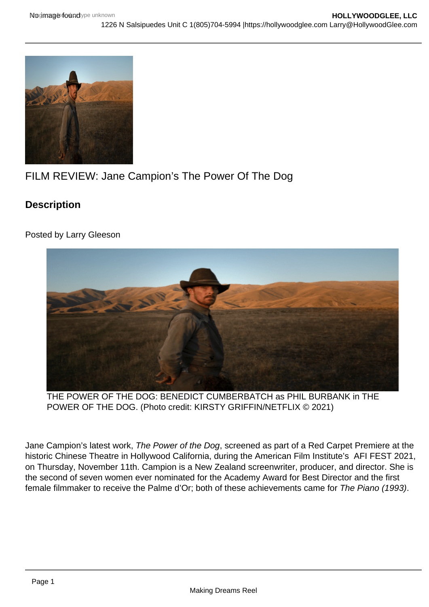# FILM REVIEW: Jane Campion's The Power Of The Dog

**Description** 

Posted by Larry Gleeson

# THE POWER OF THE DOG: BENEDICT CUMBERBATCH as PHIL BURBANK in THE POWER OF THE DOG. (Photo credit: KIRSTY GRIFFIN/NETFLIX © 2021)

Jane Campion's latest work, The Power of the Dog, screened as part of a Red Carpet Premiere at the historic Chinese Theatre in Hollywood California, during the American Film Institute's AFI FEST 2021, on Thursday, November 11th. Campion is a New Zealand screenwriter, producer, and director. She is the second of seven women ever nominated for the Academy Award for Best Director and the first female filmmaker to receive the Palme d'Or; both of these achievements came for The Piano (1993).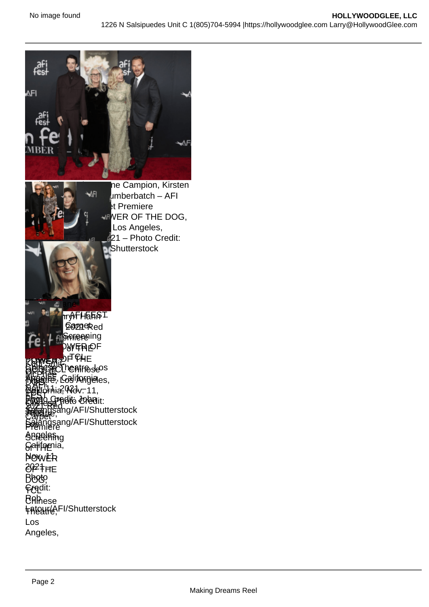Kodi Smit-McPhee, Jane Campion, Kirsten [Dunst and Benedict Cu](https://hollywoodglee.com/2021/11/18/film-capsule-the-power-of-the-dog/power-of-the-dog-hahn/)mberbatch – AFI FEST 2021 Red Carpet Premiere Screening of THE POWER OF THE DOG, TCL Chinese Theatre, Los Angeles, California, Nov. 11, 2021 – Photo Credit: Harvey Mangsang/AFI/Shutterstock **Dangkathryl Hahn L** ZOZ FREED QOZAGRed Serper Premiere ing SCTHEIROWER OF **BOWEB** OF THE **BOGGESECL DEALTEDSE Theathe**, Los **Angeles**, **Peli**phia, Wov. 11, **EAPPLO Lipedit Credit: John A** Salangsang/AFI/Shutterstock **Keitel** and Daphna Kastner – AFI FEST Director Jane POWER **BEATERE** DOG B 质白点 **Chinese PRIGHTS,** Angeles, Screening **Ga<del>l</del>ifor**nia, Now ER 2021 – OF THE Bboto<sub>,</sub> **Gre**dit: **B**Ahese **FRIGHFIG, FI/Shutterstock BHEAR OF CH Britanne Theatre slos** Angeles, California, Baltotnia? Wdv. 11, **Photo Credit: John** Salangsang/AFI/Shutterstock Kan Smit-McPhee  $\mathbb{R}$ nt **FEST 2021 Red** Carpet Premiere Los Angeles,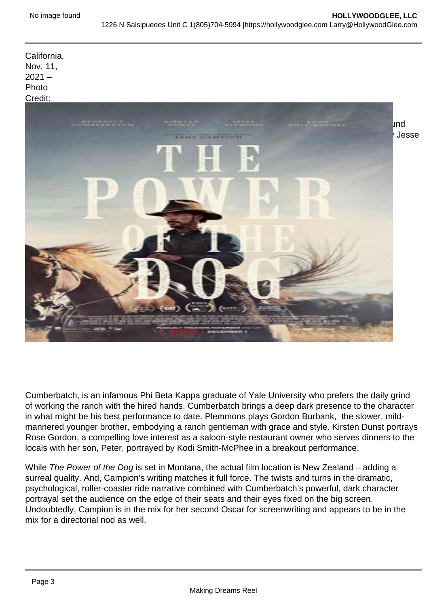California, Nov. 11,  $2021 -$ Photo Credit: John

[Salangsang/AFI/Shutte](https://hollywoodglee.com/2021/11/12/the-power-of-a-dog-left-audience-members-howling-for-more-afifest-2021/img_1885/)rstock [The Power of the Dog, written and directed by Campion, is set in 1925 Montana and circles arou](https://i0.wp.com/hollywoodglee.com/wp-content/uploads/2021/11/Power-of-the-Dog-Poster.jpg?ssl=1)nd two well-off brothers who own an influential ranching operation. The Burbank brothers, played by Jesse Plemons and Benedict Cumberbatch, come across as polar opposites. Phil Burbank, played by

Kirsten Dunst – AFI FEST 2021 Red Carpet Premiere Screening of THE POWER OF THE DOG, TCL Chinese Theatre, Los Angeles, California, Nov. 11, 2021 – Photo Credit: Rob Latour/AFI/Shutterstock

Cumberbatch, is an infamous Phi Beta Kappa graduate of Yale University who prefers the daily grind of working the ranch with the hired hands. Cumberbatch brings a deep dark presence to the character in what might be his best performance to date. Plemmons plays Gordon Burbank, the slower, mildmannered younger brother, embodying a ranch gentleman with grace and style. Kirsten Dunst portrays Rose Gordon, a compelling love interest as a saloon-style restaurant owner who serves dinners to the locals with her son, Peter, portrayed by Kodi Smith-McPhee in a breakout performance.

While The Power of the Dog is set in Montana, the actual film location is New Zealand – adding a surreal quality. And, Campion's writing matches it full force. The twists and turns in the dramatic, psychological, roller-coaster ride narrative combined with Cumberbatch's powerful, dark character portrayal set the audience on the edge of their seats and their eyes fixed on the big screen. Undoubtedly, Campion is in the mix for her second Oscar for screenwriting and appears to be in the mix for a directorial nod as well.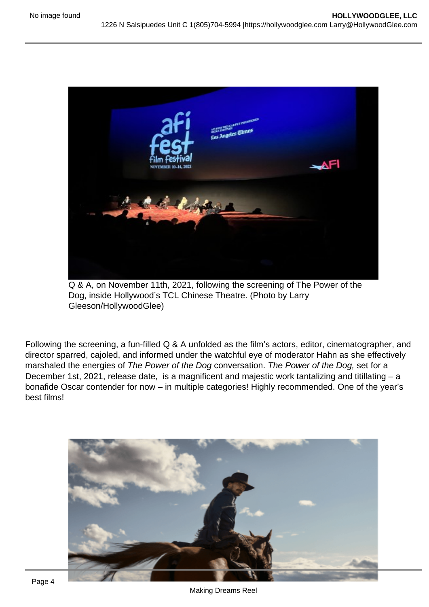Q & A, on November 11th, 2021, following the screening of The Power of the Dog, inside Hollywood's TCL Chinese Theatre. (Photo by Larry Gleeson/HollywoodGlee)

Following the screening, a fun-filled Q & A unfolded as the film's actors, editor, cinematographer, and director sparred, cajoled, and informed under the watchful eye of moderator Hahn as she effectively marshaled the energies of The Power of the Dog conversation. The Power of the Dog, set for a December 1st, 2021, release date, is a magnificent and majestic work tantalizing and titillating – a bonafide Oscar contender for now – in multiple categories! Highly recommended. One of the year's best films!